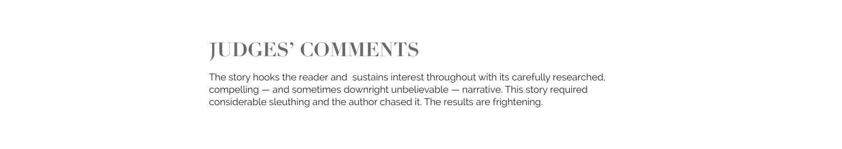# **JUDGES' COMMENTS**

The story hooks the reader and sustains interest throughout with its carefully researched, compelling — and sometimes downright unbelievable — narrative. This story required considerable sleuthing and the author chased it. The results are frightening.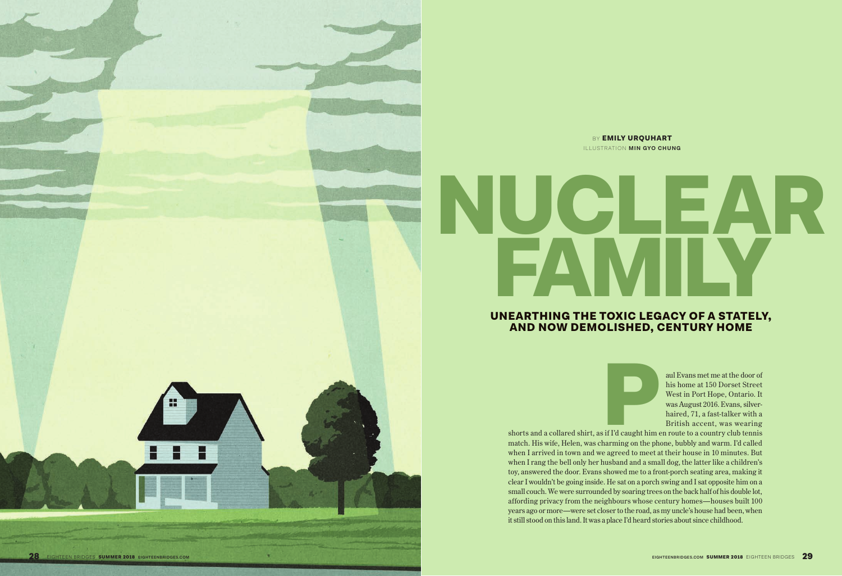ILLUSTRATION **MIN GYO CHUNG BY EMILY URQUHART** 

# UICHEATR THE TOXIC LEGACY OF A STATELY.

## UNEARTHING THE TOXIC LEGACY OF A STATELY, AND NOW DEMOLISHED, CENTURY HOME

aul Evans met me at the door of his home at 150 Dorset Street West in Port Hope, Ontario. It was August 2016. Evans, silverhaired, 71, a fast-talker with a British accent, was wearing

shorts and a collared shirt, as if I'd caught him en route to a country club tennis match. His wife, Helen, was charming on the phone, bubbly and warm. I'd called when I arrived in town and we agreed to meet at their house in 10 minutes. But when I rang the bell only her husband and a small dog, the latter like a children's toy, answered the door. Evans showed me to a front-porch seating area, making it clear I wouldn't be going inside. He sat on a porch swing and I sat opposite him on a small couch. We were surrounded by soaring trees on the back half of his double lot, affording privacy from the neighbours whose century homes—houses built 100 years ago or more—were set closer to the road, as my uncle's house had been, when it still stood on this land. It was a place I'd heard stories about since childhood. **Property**<br>
is if I'd caught him exhaming on the photo

28 EIGHTEEN BRIDGES SUMMER 2018 **EIGHTEENBRIDGES.COM**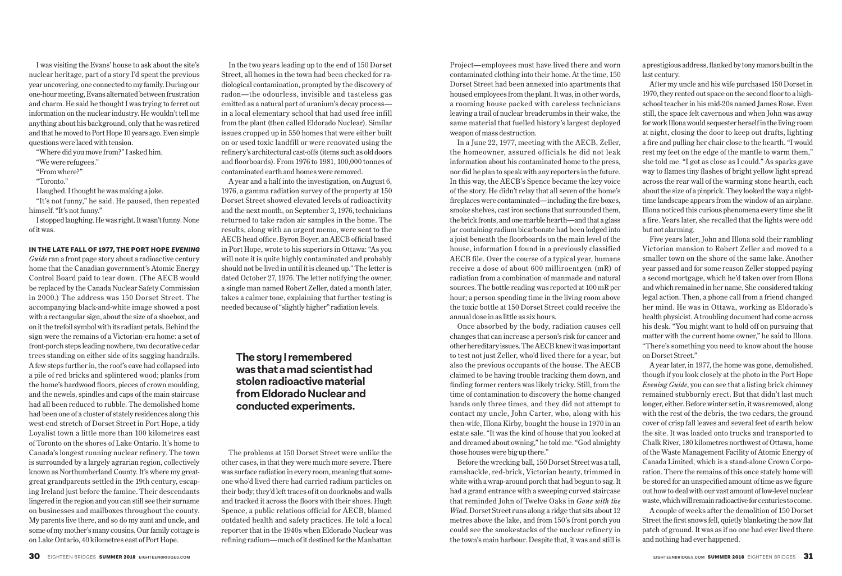I was visiting the Evans' house to ask about the site's nuclear heritage, part of a story I'd spent the previous year uncovering, one connected to my family. During our one-hour meeting, Evans alternated between frustration and charm. He said he thought I was trying to ferret out information on the nuclear industry. He wouldn't tell me anything about his background, only that he was retired and that he moved to Port Hope 10 years ago. Even simple questions were laced with tension.

"Where did you move from?" I asked him.

"We were refugees."

"From where?"

"Toronto."

I laughed. I thought he was making a joke.

"It's not funny," he said. He paused, then repeated himself. "It's not funny."

I stopped laughing. He was right. It wasn't funny. None of it was.

#### IN THE LATE FALL OF 1977, THE PORT HOPE EVENING

*Guide* ran a front page story about a radioactive century home that the Canadian government's Atomic Energy Control Board paid to tear down. (The AECB would be replaced by the Canada Nuclear Safety Commission in 2000.) The address was 150 Dorset Street. The accompanying black-and-white image showed a post with a rectangular sign, about the size of a shoebox, and on it the trefoil symbol with its radiant petals. Behind the sign were the remains of a Victorian-era home: a set of front-porch steps leading nowhere, two decorative cedar trees standing on either side of its sagging handrails. A few steps further in, the roof's eave had collapsed into a pile of red bricks and splintered wood; planks from the home's hardwood floors, pieces of crown moulding, and the newels, spindles and caps of the main staircase had all been reduced to rubble. The demolished home had been one of a cluster of stately residences along this west-end stretch of Dorset Street in Port Hope, a tidy Loyalist town a little more than 100 kilometres east of Toronto on the shores of Lake Ontario. It's home to Canada's longest running nuclear refinery. The town is surrounded by a largely agrarian region, collectively known as Northumberland County. It's where my greatgreat grandparents settled in the 19th century, escaping Ireland just before the famine. Their descendants lingered in the region and you can still see their surname on businesses and mailboxes throughout the county. My parents live there, and so do my aunt and uncle, and some of my mother's many cousins. Our family cottage is on Lake Ontario, 40 kilometres east of Port Hope.

In the two years leading up to the end of 150 Dorset Street, all homes in the town had been checked for radiological contamination, prompted by the discovery of radon—the odourless, invisible and tasteless gas emitted as a natural part of uranium's decay process in a local elementary school that had used free infill from the plant (then called Eldorado Nuclear). Similar issues cropped up in 550 homes that were either built on or used toxic landfill or were renovated using the refinery's architectural cast-offs (items such as old doors and floorboards). From 1976 to 1981, 100,000 tonnes of contaminated earth and homes were removed.

A year and a half into the investigation, on August 6, 1976, a gamma radiation survey of the property at 150 Dorset Street showed elevated levels of radioactivity and the next month, on September 3, 1976, technicians returned to take radon air samples in the home. The results, along with an urgent memo, were sent to the AECB head office. Byron Boyer, an AECB official based in Port Hope, wrote to his superiors in Ottawa: "As you will note it is quite highly contaminated and probably should not be lived in until it is cleaned up." The letter is dated October 27, 1976. The letter notifying the owner, a single man named Robert Zeller, dated a month later, takes a calmer tone, explaining that further testing is needed because of "slightly higher" radiation levels.

# **The story I remembered was that a mad scientist had stolen radioactive material from Eldorado Nuclear and conducted experiments.**

The problems at 150 Dorset Street were unlike the other cases, in that they were much more severe. There was surface radiation in every room, meaning that someone who'd lived there had carried radium particles on their body; they'd left traces of it on doorknobs and walls and tracked it across the floors with their shoes. Hugh Spence, a public relations official for AECB, blamed outdated health and safety practices. He told a local reporter that in the 1940s when Eldorado Nuclear was refining radium—much of it destined for the Manhattan

Project—employees must have lived there and worn contaminated clothing into their home. At the time, 150 Dorset Street had been annexed into apartments that housed employees from the plant. It was, in other words, a rooming house packed with careless technicians leaving a trail of nuclear breadcrumbs in their wake, the same material that fuelled history's largest deployed weapon of mass destruction.

In a June 22, 1977, meeting with the AECB, Zeller, the homeowner, assured officials he did not leak information about his contaminated home to the press, nor did he plan to speak with any reporters in the future. In this way, the AECB's Spence became the key voice of the story. He didn't relay that all seven of the home's fireplaces were contaminated—including the fire boxes, smoke shelves, cast iron sections that surrounded them, the brick fronts, and one marble hearth—and that a glass jar containing radium bicarbonate had been lodged into a joist beneath the floorboards on the main level of the house, information I found in a previously classified AECB file. Over the course of a typical year, humans receive a dose of about 600 milliroentgen (mR) of radiation from a combination of manmade and natural sources. The bottle reading was reported at 100 mR per hour; a person spending time in the living room above the toxic bottle at 150 Dorset Street could receive the annual dose in as little as six hours.

Once absorbed by the body, radiation causes cell changes that can increase a person's risk for cancer and other hereditary issues. The AECB knew it was important to test not just Zeller, who'd lived there for a year, but also the previous occupants of the house. The AECB claimed to be having trouble tracking them down, and finding former renters was likely tricky. Still, from the time of contamination to discovery the home changed hands only three times, and they did not attempt to contact my uncle, John Carter, who, along with his then-wife, Illona Kirby, bought the house in 1970 in an estate sale. "It was the kind of house that you looked at and dreamed about owning," he told me. "God almighty those houses were big up there."

Before the wrecking ball, 150 Dorset Street was a tall, ramshackle, red-brick, Victorian beauty, trimmed in white with a wrap-around porch that had begun to sag. It had a grand entrance with a sweeping curved staircase that reminded John of Twelve Oaks in *Gone with the Wind*. Dorset Street runs along a ridge that sits about 12 metres above the lake, and from 150's front porch you could see the smokestacks of the nuclear refinery in the town's main harbour. Despite that, it was and still is

a prestigious address, flanked by tony manors built in the last century.

After my uncle and his wife purchased 150 Dorset in 1970, they rented out space on the second floor to a highschool teacher in his mid-20s named James Rose. Even still, the space felt cavernous and when John was away for work Illona would sequester herself in the living room at night, closing the door to keep out drafts, lighting a fire and pulling her chair close to the hearth. "I would rest my feet on the edge of the mantle to warm them," she told me. "I got as close as I could." As sparks gave way to flames tiny flashes of bright yellow light spread across the rear wall of the warming stone hearth, each about the size of a pinprick. They looked the way a nighttime landscape appears from the window of an airplane. Illona noticed this curious phenomena every time she lit a fire. Years later, she recalled that the lights were odd but not alarming.

Five years later, John and Illona sold their rambling Victorian mansion to Robert Zeller and moved to a smaller town on the shore of the same lake. Another year passed and for some reason Zeller stopped paying a second mortgage, which he'd taken over from Illona and which remained in her name. She considered taking legal action. Then, a phone call from a friend changed her mind. He was in Ottawa, working as Eldorado's health physicist. A troubling document had come across his desk. "You might want to hold off on pursuing that matter with the current home owner," he said to Illona. "There's something you need to know about the house on Dorset Street."

A year later, in 1977, the home was gone, demolished, though if you look closely at the photo in the Port Hope *Evening Guide*, you can see that a listing brick chimney remained stubbornly erect. But that didn't last much longer, either. Before winter set in, it was removed, along with the rest of the debris, the two cedars, the ground cover of crisp fall leaves and several feet of earth below the site. It was loaded onto trucks and transported to Chalk River, 180 kilometres northwest of Ottawa, home of the Waste Management Facility of Atomic Energy of Canada Limited, which is a stand-alone Crown Corporation. There the remains of this once stately home will be stored for an unspecified amount of time as we figure out how to deal with our vast amount of low-level nuclear waste, which will remain radioactive for centuries to come.

A couple of weeks after the demolition of 150 Dorset Street the first snows fell, quietly blanketing the now flat patch of ground. It was as if no one had ever lived there and nothing had ever happened.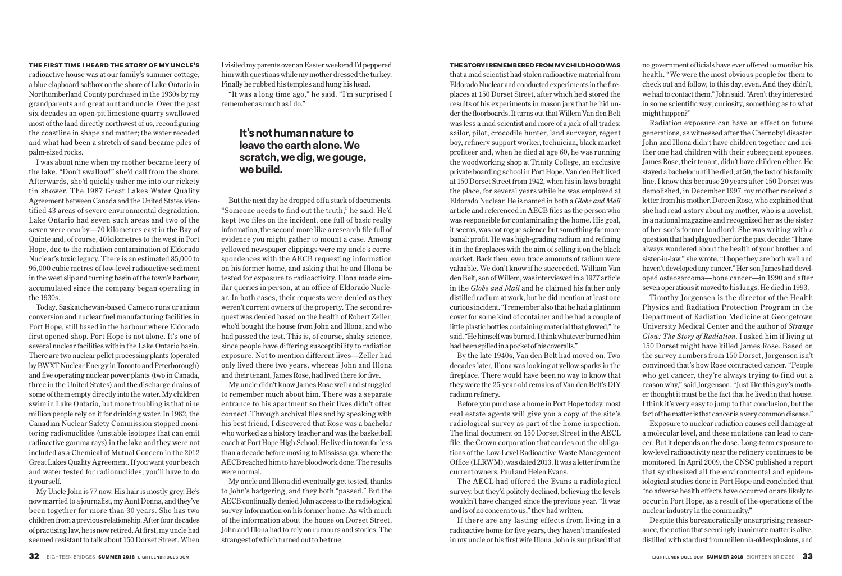#### THE FIRST TIME I HEARD THE STORY OF MY UNCLE'S

radioactive house was at our family's summer cottage, a blue clapboard saltbox on the shore of Lake Ontario in Northumberland County purchased in the 1930s by my grandparents and great aunt and uncle. Over the past six decades an open-pit limestone quarry swallowed most of the land directly northwest of us, reconfiguring the coastline in shape and matter; the water receded and what had been a stretch of sand became piles of palm-sized rocks.

I was about nine when my mother became leery of the lake. "Don't swallow!" she'd call from the shore. Afterwards, she'd quickly usher me into our rickety tin shower. The 1987 Great Lakes Water Quality Agreement between Canada and the United States identified 43 areas of severe environmental degradation. Lake Ontario had seven such areas and two of the seven were nearby—70 kilometres east in the Bay of Quinte and, of course, 40 kilometres to the west in Port Hope, due to the radiation contamination of Eldorado Nuclear's toxic legacy. There is an estimated 85,000 to 95,000 cubic metres of low-level radioactive sediment in the west slip and turning basin of the town's harbour, accumulated since the company began operating in the 1930s.

Today, Saskatchewan-based Cameco runs uranium conversion and nuclear fuel manufacturing facilities in Port Hope, still based in the harbour where Eldorado first opened shop. Port Hope is not alone. It's one of several nuclear facilities within the Lake Ontario basin. There are two nuclear pellet processing plants (operated by BWXT Nuclear Energy in Toronto and Peterborough) and five operating nuclear power plants (two in Canada, three in the United States) and the discharge drains of some of them empty directly into the water. My children swim in Lake Ontario, but more troubling is that nine million people rely on it for drinking water. In 1982, the Canadian Nuclear Safety Commission stopped monitoring radionuclides (unstable isotopes that can emit radioactive gamma rays) in the lake and they were not included as a Chemical of Mutual Concern in the 2012 Great Lakes Quality Agreement. If you want your beach and water tested for radionuclides, you'll have to do it yourself.

My Uncle John is 77 now. His hair is mostly grey. He's now married to a journalist, my Aunt Donna, and they've been together for more than 30 years. She has two children from a previous relationship. After four decades of practising law, he is now retired. At first, my uncle had seemed resistant to talk about 150 Dorset Street. When I visited my parents over an Easter weekend I'd peppered him with questions while my mother dressed the turkey. Finally he rubbed his temples and hung his head.

"It was a long time ago," he said. "I'm surprised I remember as much as I do."

# **It's not human nature to leave the earth alone. We scratch, we dig, we gouge, we build.**

But the next day he dropped off a stack of documents. "Someone needs to find out the truth," he said. He'd kept two files on the incident, one full of basic realty information, the second more like a research file full of evidence you might gather to mount a case. Among yellowed newspaper clippings were my uncle's correspondences with the AECB requesting information on his former home, and asking that he and Illona be tested for exposure to radioactivity. Illona made similar queries in person, at an office of Eldorado Nuclear. In both cases, their requests were denied as they weren't current owners of the property. The second request was denied based on the health of Robert Zeller, who'd bought the house from John and Illona, and who had passed the test. This is, of course, shaky science, since people have differing susceptibility to radiation exposure. Not to mention different lives—Zeller had only lived there two years, whereas John and Illona and their tenant, James Rose, had lived there for five.

My uncle didn't know James Rose well and struggled to remember much about him. There was a separate entrance to his apartment so their lives didn't often connect. Through archival files and by speaking with his best friend, I discovered that Rose was a bachelor who worked as a history teacher and was the basketball coach at Port Hope High School. He lived in town for less than a decade before moving to Mississauga, where the AECB reached him to have bloodwork done. The results were normal.

My uncle and Illona did eventually get tested, thanks to John's badgering, and they both "passed." But the AECB continually denied John access to the radiological survey information on his former home. As with much of the information about the house on Dorset Street, John and Illona had to rely on rumours and stories. The strangest of which turned out to be true.

#### THE STORY I REMEMBERED FROM MY CHILDHOOD WAS

that a mad scientist had stolen radioactive material from Eldorado Nuclear and conducted experiments in the fireplaces at 150 Dorset Street, after which he'd stored the results of his experiments in mason jars that he hid under the floorboards. It turns out that Willem Van den Belt was less a mad scientist and more of a jack of all trades: sailor, pilot, crocodile hunter, land surveyor, regent boy, refinery support worker, technician, black market profiteer and, when he died at age 60, he was running the woodworking shop at Trinity College, an exclusive private boarding school in Port Hope. Van den Belt lived at 150 Dorset Street from 1942, when his in-laws bought the place, for several years while he was employed at Eldorado Nuclear. He is named in both a *Globe and Mail*  article and referenced in AECB files as the person who was responsible for contaminating the home. His goal, it seems, was not rogue science but something far more banal: profit. He was high-grading radium and refining it in the fireplaces with the aim of selling it on the black market. Back then, even trace amounts of radium were valuable. We don't know if he succeeded. William Van den Belt, son of Willem, was interviewed in a 1977 article in the *Globe and Mail* and he claimed his father only distilled radium at work, but he did mention at least one curious incident. "I remember also that he had a platinum cover for some kind of container and he had a couple of little plastic bottles containing material that glowed," he said. "He himself was burned. I think whatever burned him had been spilled in a pocket of his coveralls."

By the late 1940s, Van den Belt had moved on. Two decades later, Illona was looking at yellow sparks in the fireplace. There would have been no way to know that they were the 25-year-old remains of Van den Belt's DIY radium refinery.

Before you purchase a home in Port Hope today, most real estate agents will give you a copy of the site's radiological survey as part of the home inspection. The final document on 150 Dorset Street in the AECL file, the Crown corporation that carries out the obligations of the Low-Level Radioactive Waste Management Office (LLRWM), was dated 2013. It was a letter from the current owners, Paul and Helen Evans.

The AECL had offered the Evans a radiological survey, but they'd politely declined, believing the levels wouldn't have changed since the previous year. "It was and is of no concern to us," they had written.

If there are any lasting effects from living in a radioactive home for five years, they haven't manifested in my uncle or his first wife Illona. John is surprised that no government officials have ever offered to monitor his health. "We were the most obvious people for them to check out and follow, to this day, even. And they didn't, we had to contact them," John said. "Aren't they interested in some scientific way, curiosity, something as to what might happen?"

Radiation exposure can have an effect on future generations, as witnessed after the Chernobyl disaster. John and Illona didn't have children together and neither one had children with their subsequent spouses. James Rose, their tenant, didn't have children either. He stayed a bachelor until he died, at 50, the last of his family line. I know this because 20 years after 150 Dorset was demolished, in December 1997, my mother received a letter from his mother, Doreen Rose, who explained that she had read a story about my mother, who is a novelist, in a national magazine and recognized her as the sister of her son's former landlord. She was writing with a question that had plagued her for the past decade: "I have always wondered about the health of your brother and sister-in-law," she wrote. "I hope they are both well and haven't developed any cancer." Her son James had developed osteosarcoma—bone cancer—in 1990 and after seven operations it moved to his lungs. He died in 1993.

Timothy Jorgensen is the director of the Health Physics and Radiation Protection Program in the Department of Radiation Medicine at Georgetown University Medical Center and the author of *Strange Glow: The Story of Radiation*. I asked him if living at 150 Dorset might have killed James Rose. Based on the survey numbers from 150 Dorset, Jorgensen isn't convinced that's how Rose contracted cancer. "People who get cancer, they're always trying to find out a reason why," said Jorgenson. "Just like this guy's mother thought it must be the fact that he lived in that house. I think it's very easy to jump to that conclusion, but the fact of the matter is that cancer is a very common disease."

Exposure to nuclear radiation causes cell damage at a molecular level, and these mutations can lead to cancer. But it depends on the dose. Long-term exposure to low-level radioactivity near the refinery continues to be monitored. In April 2009, the CNSC published a report that synthesized all the environmental and epidemiological studies done in Port Hope and concluded that "no adverse health effects have occurred or are likely to occur in Port Hope, as a result of the operations of the nuclear industry in the community."

Despite this bureaucratically unsurprising reassurance, the notion that seemingly inanimate matter is alive, distilled with stardust from millennia-old explosions, and